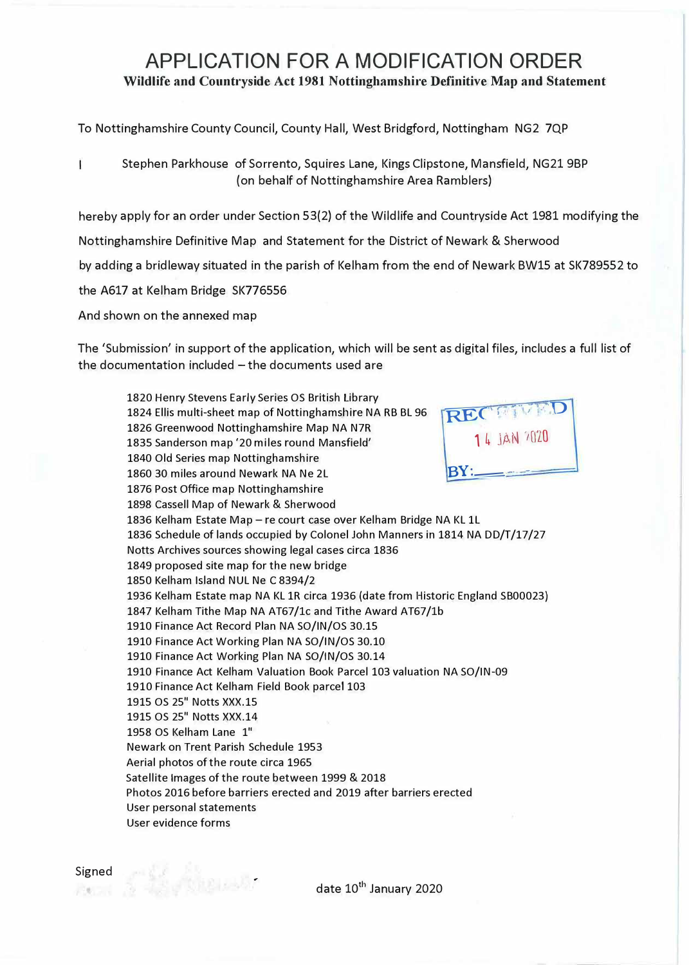## **APPLICATION FOR A MODIFICATION ORDER Wildlife and Countryside Act 1981 Nottinghamshire Definitive Map and Statement**

To Nottinghamshire County Council, County Hall, West Bridgford, Nottingham NG2 7QP

Ť Stephen Parkhouse of Sorrento, Squires Lane, Kings Clipstone, Mansfield, NG21 9BP (on behalf of Nottinghamshire Area Ramblers)

hereby apply for an order under Section 53(2) of the Wildlife and Countryside Act 1981 modifying the

Nottinghamshire Definitive Map and Statement for the District of Newark & Sherwood

by adding a bridleway situated in the parish of Kelham from the end of Newark BW15 at SK789552 to

the A617 at Kelham Bridge SK776556

And shown on the annexed map

The 'Submission' in support of the application, which will be sent as digital files, includes a full list of the documentation included - the documents used are

1820 Henry Stevens Early Series OS British Library 1824 Ellis multi-sheet map of Nottinghamshire NA RB BL 96 1826 Greenwood Nottinghamshire Map NA N7R 1835 Sanderson map '20 miles round Mansfield' 1840 Old Series map Nottinghamshire 1860 30 miles around Newark NA Ne 2L 1876 Post Office map Nottinghamshire 1898 Cassell Map of Newark & Sherwood  $REC$  **FILLED 1** 4 JAN *'1(1'LO* **BY:** 1836 Kelham Estate Map - re court case over Kelham Bridge NA KL 1L 1836 Schedule of lands occupied by Colonel John Manners in 1814 NA DD/T/17/27 Notts Archives sources showing legal cases circa 1836 1849 proposed site map for the new bridge 1850 Kelham Island NUL Ne C 8394/2 1936 Kelham Estate map NA KL 1R circa 1936 (date from Historic England SB00023) 1847 Kelham Tithe Map NA AT67/lc and Tithe Award AT67/lb 1910 Finance Act Record Plan NA SO/IN/OS 30.15 1910 Finance Act Working Plan NA SO/IN/OS 30.10 1910 Finance Act Working Plan NA SO/IN/OS 30.14 1910 Finance Act Kelham Valuation Book Parcel 103 valuation NA SO/IN-09 1910 Finance Act Kelham Field Book parcel 103 1915 OS 25" Notts XXX.15 1915 OS 25" Notts XXX.14 1958 OS Kelham Lane 1" Newark on Trent Parish Schedule 1953 Aerial photos of the route circa 1965 Satellite Images of the route between 1999 & 2018 Photos 2016 before barriers erected and 2019 after barriers erected User personal statements User evidence forms

date 10<sup>th</sup> January 2020

*--*

**C. H. All Brook**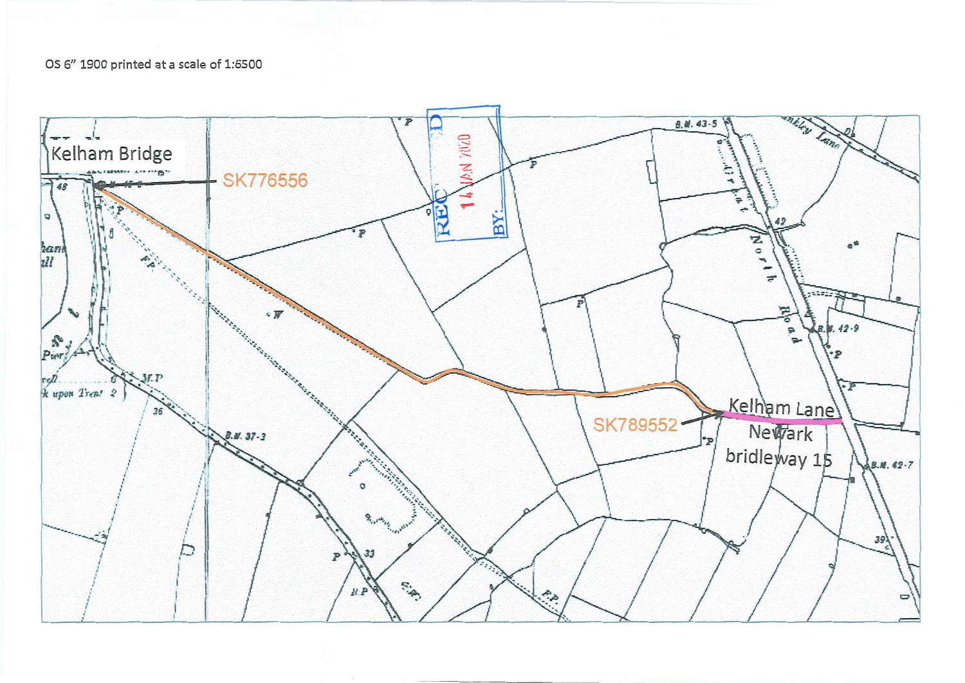## OS 6" 1900 printed at a scale of 1:6500